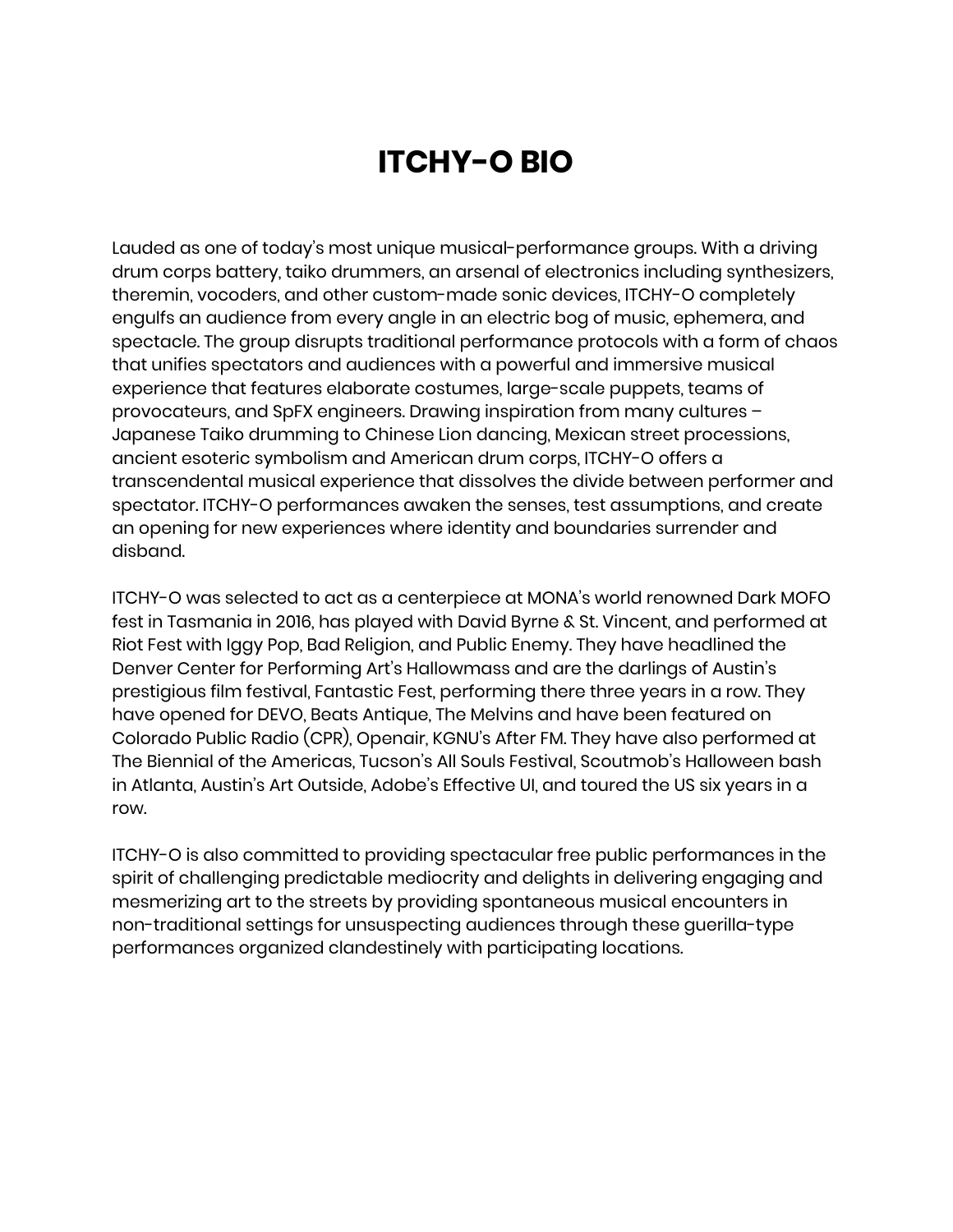## **ITCHY-O BIO**

Lauded as one of today's most unique musical-performance groups. With a driving drum corps battery, taiko drummers, an arsenal of electronics including synthesizers, theremin, vocoders, and other custom-made sonic devices, ITCHY-O completely engulfs an audience from every angle in an electric bog of music, ephemera, and spectacle. The group disrupts traditional performance protocols with a form of chaos that unifies spectators and audiences with a powerful and immersive musical experience that features elaborate costumes, large-scale puppets, teams of provocateurs, and SpFX engineers. Drawing inspiration from many cultures – Japanese Taiko drumming to Chinese Lion dancing, Mexican street processions, ancient esoteric symbolism and American drum corps, ITCHY-O offers a transcendental musical experience that dissolves the divide between performer and spectator. ITCHY-O performances awaken the senses, test assumptions, and create an opening for new experiences where identity and boundaries surrender and disband.

ITCHY-O was selected to act as a centerpiece at MONA's world renowned Dark MOFO fest in Tasmania in 2016, has played with David Byrne & St. Vincent, and performed at Riot Fest with Iggy Pop, Bad Religion, and Public Enemy. They have headlined the Denver Center for Performing Art's Hallowmass and are the darlings of Austin's prestigious film festival, Fantastic Fest, performing there three years in a row. They have opened for DEVO, Beats Antique, The Melvins and have been featured on Colorado Public Radio (CPR), Openair, KGNU's After FM. They have also performed at The Biennial of the Americas, Tucson's All Souls Festival, Scoutmob's Halloween bash in Atlanta, Austin's Art Outside, Adobe's Effective UI, and toured the US six years in a row.

ITCHY-O is also committed to providing spectacular free public performances in the spirit of challenging predictable mediocrity and delights in delivering engaging and mesmerizing art to the streets by providing spontaneous musical encounters in non-traditional settings for unsuspecting audiences through these guerilla-type performances organized clandestinely with participating locations.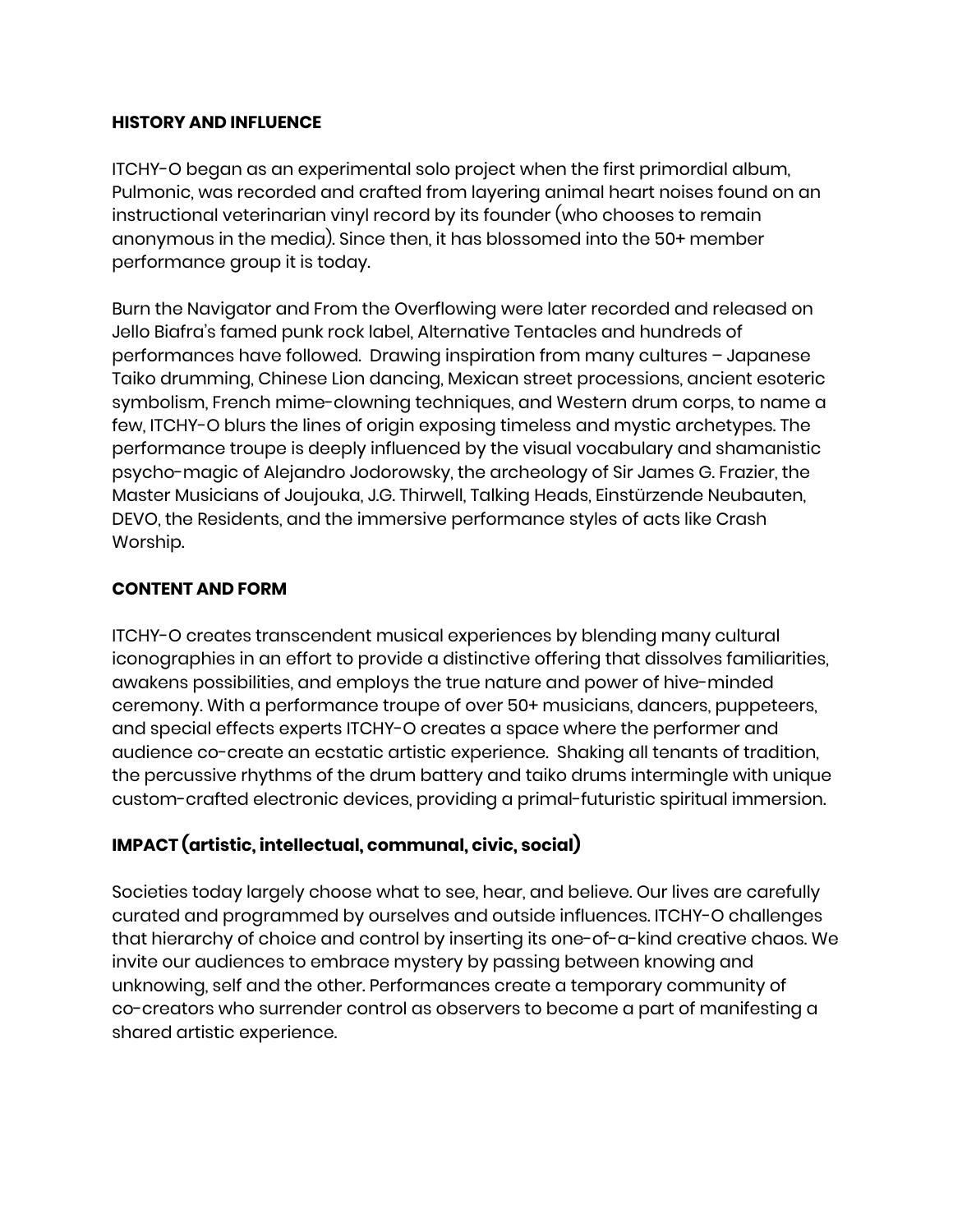## **HISTORY AND INFLUENCE**

ITCHY-O began as an experimental solo project when the first primordial album, Pulmonic, was recorded and crafted from layering animal heart noises found on an instructional veterinarian vinyl record by its founder (who chooses to remain anonymous in the media). Since then, it has blossomed into the 50+ member performance group it is today.

Burn the Navigator and From the Overflowing were later recorded and released on Jello Biafra's famed punk rock label, Alternative Tentacles and hundreds of performances have followed. Drawing inspiration from many cultures – Japanese Taiko drumming, Chinese Lion dancing, Mexican street processions, ancient esoteric symbolism, French mime-clowning techniques, and Western drum corps, to name a few, ITCHY-O blurs the lines of origin exposing timeless and mystic archetypes. The performance troupe is deeply influenced by the visual vocabulary and shamanistic psycho-magic of Alejandro Jodorowsky, the archeology of Sir James G. Frazier, the Master Musicians of Joujouka, J.G. Thirwell, Talking Heads, Einstürzende Neubauten, DEVO, the Residents, and the immersive performance styles of acts like Crash Worship.

## **CONTENT AND FORM**

ITCHY-O creates transcendent musical experiences by blending many cultural iconographies in an effort to provide a distinctive offering that dissolves familiarities, awakens possibilities, and employs the true nature and power of hive-minded ceremony. With a performance troupe of over 50+ musicians, dancers, puppeteers, and special effects experts ITCHY-O creates a space where the performer and audience co-create an ecstatic artistic experience. Shaking all tenants of tradition, the percussive rhythms of the drum battery and taiko drums intermingle with unique custom-crafted electronic devices, providing a primal-futuristic spiritual immersion.

## **IMPACT (artistic, intellectual, communal, civic, social)**

Societies today largely choose what to see, hear, and believe. Our lives are carefully curated and programmed by ourselves and outside influences. ITCHY-O challenges that hierarchy of choice and control by inserting its one-of-a-kind creative chaos. We invite our audiences to embrace mystery by passing between knowing and unknowing, self and the other. Performances create a temporary community of co-creators who surrender control as observers to become a part of manifesting a shared artistic experience.